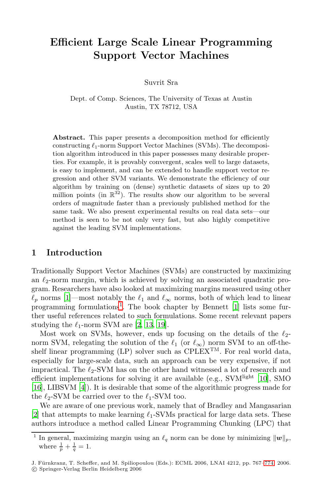## **Efficient Large Scale Linear Programming Support Vector Machines**

Suvrit Sra

Dept. of Comp. Sciences, The University of Texas at Austin Austin, TX 78712, USA

**Abstract.** This paper presents a decomposition method for efficiently  $\text{constructing } \ell_1\text{-norm}$  Support Vector Machines (SVMs). The decomposition tion algorithm introduced in this paper possesses many desirable properties. For example, it is provably convergent, scales well to large datasets, is easy to implement, and can be extended to handle support vector regression and other SVM variants. We demonstrate the efficiency of our algorithm by training on (dense) synthetic datasets of sizes up to 20 million points (in  $\mathbb{R}^{32}$ ). The results show our algorithm to be several orders of magnitude faster than a previously published method for the same task. We also present experimental results on real data sets—our method is seen to be not only very fast, but also highly competitive against the leading SVM implementations.

## 1 Introd[u](#page-7-0)[cti](#page-7-1)[on](#page-7-2)

Traditionally Support Vector Machines (SVMs) are constructed by maximizing an  $\ell_2$ -norm margin, which is achieved by solving an associated quadratic program. Researchers have also looked at maximizing margins measured using other  $\ell_p$  norms [1]—most notably the  $\ell_1$  and  $\ell_\infty$  norms, both of which lead to linear programming formulations<sup>1</sup>. The book chapter b[y B](#page-7-3)ennett  $[1]$  lists some further useful references related to such formulations. Some recent relevant papers studying the  $\ell_1$ -norm SVM are [2, 13, 19].

Most work on SVMs, however, ends up focusing on the details of the  $\ell_2$ norm SVM, relegating the solution of the  $\ell_1$  (or  $\ell_{\infty}$ ) norm SVM to an off-theshelf linear programming  $(LP)$  solver such as CPLEX<sup>TM</sup>. For real world data, especially for large-scale data, such an approach can be very expensive, if not impractical. The  $\ell_2$ -SVM has on the other hand witnessed a lot of research and efficient implementations for solving it are available (e.g., SVM<sup>light</sup> [10], SMO [16], LIBSVM [4]). It is desirable that some of the al[gori](#page-7-4)thmic progress made for the  $\ell_2$ -SVM be carried over to the  $\ell_1$ -SVM too.

We are aware of one previous work, namely that of Bradley and Mangasarian [2] that attempts to make learning  $\ell_1$ -SVMs practical for large data sets. These authors introduce a method called Linear Programming Chunking (LPC) that

<sup>&</sup>lt;sup>1</sup> In general, maximizing margin using an  $\ell_q$  norm can be done by minimizing  $||w||_p$ , where  $\frac{1}{p} + \frac{1}{p} = 1$ where  $\frac{1}{p} + \frac{1}{q} = 1$ .

J. Fürnkranz, T. Scheffer, and M. Spiliopoulou (Eds.): ECML 2006, LNAI 4212, pp. 767–774, 2006. c Springer-Verlag Berlin Heidelberg 2006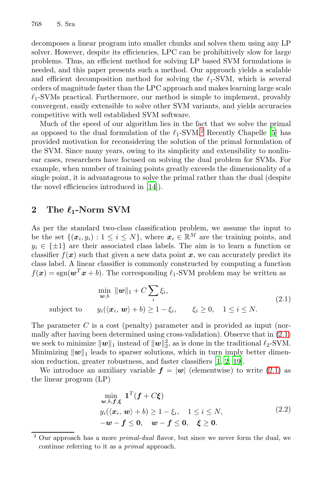#### 768 S. Sra

decomposes a linear program into smaller chunks and solves them using any LP solver. However, despite its efficiencies, LPC can be prohibitively slow for large problems. Thus, an efficient me[tho](#page-1-0)d for solving LP b[ase](#page-7-5)d SVM formulations is needed, and this paper presents such a method. Our approach yields a scalable and efficient decomposition method for solving the  $\ell_1$ -SVM, which is several orders of magnitude faster than the LPC approach and makes learning large scale  $\ell_1$ -SVMs practical. Furthermore, our method is simple to implement, provably convergent, easily extensible to solve other SVM variants, and yields accuracies competitive wit[h w](#page-7-6)ell established SVM software.

Much of the speed of our algorithm lies in the fact that we solve the primal as opposed to the dual formulation of the  $\ell_1$ -SVM.<sup>2</sup> Recently Chapelle [5] has provided motivation for reconsidering the solution of the primal formulation of the SVM. Since many years, owing to its simplicity and extensibility to nonlinear cases, researchers have focused on solving the dual problem for SVMs. For example, when number of training points greatly exceeds the dimensionality of a single point, it is advantageous to solve the primal rather than the dual (despite the novel efficiencies introduced in [14]).

# <span id="page-1-1"></span>2 The  $\ell_1$ -Norm SVM

As per the standard two-class classification problem, we assume the input to be the set  $\{(x_i, y_i): 1 \leq i \leq N\}$ , where  $x_i \in \mathbb{R}^M$  are the training points, and  $y_i \in {\{\pm 1\}}$  are their associated class labels. The aim is to learn a function or classifier  $f(x)$  such that given a new data point x, we can accurately predict its class label. A linear classifier is commonly constructed b[y co](#page-1-1)mputing a function  $f(\mathbf{x}) = \text{sgn}(\mathbf{w}^T \mathbf{x} + b)$ . The corresponding  $\ell_1$ -SVM problem may be written as

$$
\min_{\mathbf{w},b} \ \|\mathbf{w}\|_1 + C \sum_i \xi_i,
$$
\n
$$
\text{subject to} \qquad y_i(\langle \mathbf{x}_i, \mathbf{w} \rangle + b) \ge 1 - \xi_i, \qquad \xi_i \ge 0, \quad 1 \le i \le N. \tag{2.1}
$$

<span id="page-1-2"></span>The parameter C is a cost (penalty) parameter and is provided as input (normally after having been determined using cross-validation). Observe that in (2.1) we seek to minimize  $\|\boldsymbol{w}\|_1$  instead of  $\|\boldsymbol{w}\|_2^2$ , as is done in the traditional  $\ell_2$ -SVM.<br>Minimizing  $\|\boldsymbol{w}\|_2$  leads to sparser solutions, which in turn imply better dimen-Minimizing  $\|\boldsymbol{w}\|_1$  leads to sparser solutions, which in turn imply better dimension reduction, greater robustness, and faster classifiers [1, 2, 19].

<span id="page-1-0"></span>We introduce an auxiliary variable  $f = |w|$  (elementwise) to write (2.1) as the linear program (LP)

$$
\min_{\mathbf{w},b,\mathbf{f},\boldsymbol{\xi}} \mathbf{1}^T(\mathbf{f} + C\boldsymbol{\xi})
$$
\n
$$
y_i(\langle \mathbf{x}_i, \mathbf{w} \rangle + b) \ge 1 - \xi_i, \quad 1 \le i \le N,
$$
\n
$$
-\mathbf{w} - \mathbf{f} \le \mathbf{0}, \quad \mathbf{w} - \mathbf{f} \le \mathbf{0}, \quad \boldsymbol{\xi} \ge \mathbf{0}.
$$
\n(2.2)

<sup>2</sup> Our approach has a more *primal-dual* flavor, but since we never form the dual, we continue referring to it as a *primal* approach.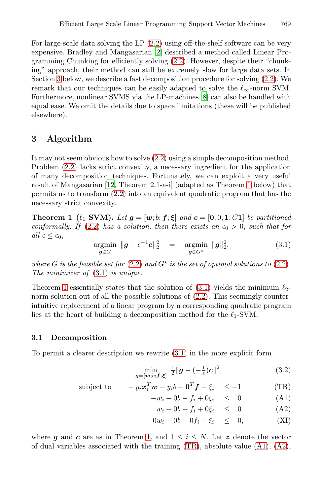For large-scale data solving the LP (2.2) using off-the-shelf software can be very expensive. Bradley and Mangasarian [2] described a method called Linear Programming Chunking for efficiently solving (2.2). However, despite their "chunking" approach, their method can still be extremely slow for large data sets. In Section 3 below, we describe a fast decomposition procedure for solving (2.2). We remark that our t[echn](#page-1-2)iques can be easily adapted to solve the  $\ell_{\infty}$ -norm SVM. Furthermore, nonlinear SVMS via the LP-machines [8] can also be handled with equal ease. We omit the details due to space limitations (these will be published else[wh](#page-7-9)ere).

### **3 Algorithm**

<span id="page-2-0"></span>[It](#page-1-2) may not seem obvious how to solve (2.2) using a simple decomposition method. Problem (2.2) lacks strict convexity, a necessary ingredient for the application of many decomposition techniques. Fortunately, we can exploit a very useful result of Mangasarian [12, Theorem 2.1-a-i] (adapted as Theorem 1 below) that permits us [to t](#page-1-2)ransform (2.2) into an equivalent quadra[tic p](#page-1-2)rogram that has the [nece](#page-2-0)ssary strict convexity.

**Theorem 1** ( $\ell_1$  **SVM).** *Let*  $g = [w; b; f; \xi]$  $g = [w; b; f; \xi]$  $g = [w; b; f; \xi]$  *and*  $c = [0; 0; 1; C1]$  *be partitioned* conformally *If* (2.2) has a solution, then there exists an  $\epsilon_0 > 0$  such that for *conformally. If* (2.2) *has a sol[utio](#page-1-2)n, then there exists an*  $\epsilon_0 > 0$ *, such that for*  $all \epsilon \leq \epsilon_0$ ,

$$
\underset{\boldsymbol{g}\in G}{\operatorname{argmin}} \ \|\boldsymbol{g}+\epsilon^{-1}\boldsymbol{c}\|_2^2 \quad = \quad \underset{\boldsymbol{g}\in G^*}{\operatorname{argmin}} \ \|\boldsymbol{g}\|_2^2, \tag{3.1}
$$

where G is the feasible set for  $(2.2)$  and  $G^*$  is the set of optimal solutions to  $(2.2)$ . *The minimizer of* (3.1) *is unique.*

Theorem 1 essentially st[ates](#page-2-0) that the solution of  $(3.1)$  yields the minimum  $\ell_2$ norm solution out of all the possible solutions of  $(2.2)$ . This seemingly counterintuitive replacement of a linear program by a corresponding quadratic program lies at the heart of building a decomposition method for the  $\ell_1$ -SVM.

#### **3.1 Decomposition**

To permit a clearer description we rewrite (3.1) in the more explicit form

<span id="page-2-1"></span>
$$
\min_{\boldsymbol{g} = [\boldsymbol{w}; b; \boldsymbol{f}, \boldsymbol{\xi}]} \frac{1}{2} \|\boldsymbol{g} - (-\frac{1}{\epsilon})\boldsymbol{c}\|^2, \tag{3.2}
$$

subject to 
$$
-y_i \mathbf{x}_i^T \mathbf{w} - y_i b + \mathbf{0}^T \mathbf{f} - \xi_i \le -1
$$
 (TR)

$$
-w_i + 0b - f_i + 0\xi_i \leq 0 \tag{A1}
$$

$$
w_i + 0b + f_i + 0\xi_i \leq 0 \tag{A2}
$$

$$
0w_i + 0b + 0f_i - \xi_i \leq 0, \tag{XI}
$$

where *g* and *c* are as in Theorem 1, and  $1 \leq i \leq N$ . Let *z* denote the vector of dual variables associated with the training (TR), absolute value (A1), (A2),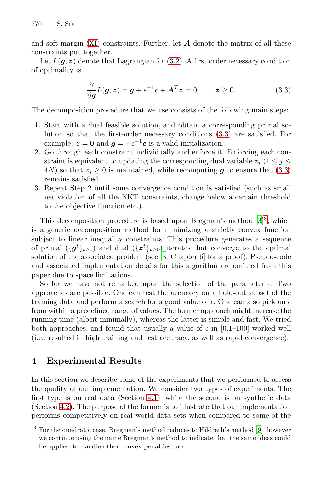<span id="page-3-0"></span>770 S. Sra

and soft-margin (XI) constraints. Further, let *A* denote the matrix of all these constraints put together.

Let  $L(q, z)$  denote that Lagrangian for  $(3.2)$ . A first order necessary condition of optimality is

$$
\frac{\partial}{\partial g}L(g, z) = g + \epsilon^{-1}c + A^{T}z = 0, \qquad z \ge 0.
$$
 (3.3)

The decomposition procedure that we use consists of the following main steps:

- 1. Start with a dual feasible solution, and obtain a corresponding primal solution so that the first-order necessary conditions (3.3) are satisfied. For example,  $z = 0$  and  $q = -\epsilon^{-1}c$  is a valid initialization.
- 2. Go through each constraint individually and e[nf](#page-7-10)[or](#page-3-1)ce it. Enforcing each constraint is equivalent to updating the corresponding dual variable  $z_i$  (1  $\leq$  j  $\leq$ 4N) so that  $z_i \geq 0$  is maintained, while recomputing *g* to ensure that (3.3) remains satisfied.
- 3. Repeat Step 2 u[nt](#page-7-10)il some convergence condition is satisfied (such as small net violation of all the KKT constraints, change below a certain threshold to the objective function etc.).

This decomposition procedure is based upon Bregman's method  $[3]^3$ , which is a generic decomposition method for minimizing a strictly convex function subject to linear inequality constraints. This procedure generates a sequence of primal  $({\{g^t\}}_{t\geq 0})$  and dual  $({\{z^t\}}_{t\geq 0})$  iterates that converge to the optimal<br>solution of the associated problem (see [3] Chapter 6] for a proof). Pseudo-code solution of the associated problem (see [3, Chapter 6] for a proof). Pseudo-code and associated implementation details for this algorithm are omitted from this paper due to space limitations.

So far we have not remarked upon the selection of the parameter  $\epsilon$ . Two approaches are possible. One can test the accuracy on a hold-out subset of the training data and perform a search for a good value of  $\epsilon$ . One can also pick an  $\epsilon$ from within a predefined range of values. The former approach might increase the running time (albeit minimally), whereas the latter is simple and fast. We tried both approache[s, an](#page-4-0)d found that usually a value of  $\epsilon$  in [0.1–100] worked well (i.e., resulted in high training and test accuracy, as well as rapid convergence).

## <span id="page-3-1"></span>**4 Experimental Results**

In this section we describe some of the experiments that we performed to assess the quality of our implementation. We consider two types of experiments. The first type is on real data (Section 4.1), while the second is on synthetic data (Section 4.2). The purpose of the former is to illustrate that our implementation performs competitively on real world data sets when compared to some of the

<sup>3</sup> For the quadratic case, Bregman's method reduces to Hildreth's method [9], however we continue using the name Bregman's method to indicate that the same ideas could be applied to handle other convex penalties too.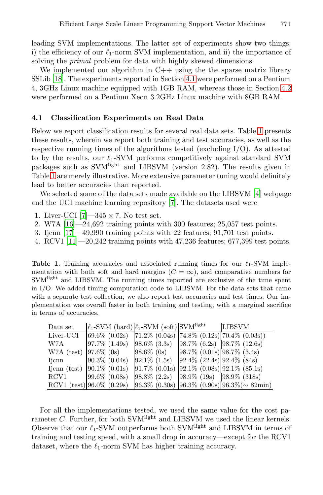<span id="page-4-0"></span>leading SVM implementations. The latter set of experiments show two things: i) the efficiency of our  $\ell_1$ -norm SVM implementation, and ii) the importance of solving the *primal* problem for data with highly s[ke](#page-4-1)wed dimensions.

We implemented our algorithm in  $C++$  using the the sparse matrix library SSLib [18]. The experiments reported in Section 4.1 were performed on a Pentium 4, 3GHz Linux machine equipped with 1GB RAM, whereas those in Section 4.2 were performed on a Pentium Xeon 3.2GHz Linux machine with 8GB RAM.

#### **4.1 Classification Experiments on Real D[at](#page-7-11)a**

Below we report classi[fica](#page-7-12)tion results for several real data sets. Table 1 presents these results, wherein we report both training and test accuracies, as well as the respective running times of the algorithms tested (excluding I/O). As attested to by the results, our  $\ell_1$ -SVM performs competitively against standard SVM packages such as SVMlight and LIBSVM (version 2.82). The results given in Table 1 are merely illustrative. More extensive parameter tuning would definitely lead to better accuracies than reported.

<span id="page-4-1"></span>We selected some of the data sets made available on the LIBSVM [4] webpage and the UCI machine learning repository [7]. The datasets used were

- 1. Liver-UCI  $[7]$   $-345 \times 7$ . No test set.
- 2. W7A [16]—24,692 training points with 300 features; 25,057 test points.
- 3. Ijcnn [17]—49,990 training points with 22 features; 91,701 test points.
- 4. RCV1 [11]—20,242 training points with 47,236 features; 677,399 test points.

**Table 1.** Training accuracies and associated running times for our  $\ell_1$ -SVM imple-<br>montation with both soft and hard margins  $(C - \infty)$  and comparative numbers for mentation with both soft and hard margins ( $C = \infty$ ), and comparative numbers for SVMlight and LIBSVM. The running times reported are exclusive of the time spent in I/O. We added timing computation code to LIBSVM. For the data sets that came with a separate test collection, we also report test accuracies and test times. Our implementation was overall faster in both training and testing, with a marginal sacrifice in terms of accuracies.

| Data set   | $\ell_1$ -SVM (hard) $\ell_1$ -SVM (soft) SVM <sup>light</sup> |                                                                  |                                  | <b>LIBSVM</b>                                                                 |
|------------|----------------------------------------------------------------|------------------------------------------------------------------|----------------------------------|-------------------------------------------------------------------------------|
| Liver-UCI  | $\overline{69.6\%}$ (0.02s)                                    |                                                                  |                                  | $\left[71.2\% \ (0.04s) \ (74.8\% \ (0.12s) \ 70.4\% \ (0.03s)\right)\right]$ |
| W7A        | $97.7\%$ $(1.49s)$                                             | $ 98.6\% (3.3s)  98.7\% (6.2s)  98.7\% (12.6s)$                  |                                  |                                                                               |
| W7A (test) | $97.6\%$ (0s)                                                  | $98.6\%$ (0s)                                                    | $98.7\%$ (0.01s) $98.7\%$ (3.4s) |                                                                               |
| Ijcnn      | $90.3\%$ (0.04s)                                               | $92.1\%$ (1.5s)                                                  | $92.4\%$ (22.4s) $92.4\%$ (84s)  |                                                                               |
|            | Ijcnn (test) $ 90.1\% $ (0.01s)                                | $ 91.7\% \; (0.01s) \;  92.1\% \; (0.08s) \;  92.1\% \; (85.1s)$ |                                  |                                                                               |
| RCV1       | $99.6\%$ (0.08s)                                               | $ 98.8\% (2.2s)  98.9\% (19s)  98.9\% (318s)$                    |                                  |                                                                               |
|            | RCV1 (test) $96.0\%$ (0.29s)                                   |                                                                  |                                  | $ 96.3\% (0.30s)  96.3\% (0.90s)  96.3\% (\sim 82min)$                        |

For all the implementations tested, we used the same value for the cost parameter  $C$ . Further, for both SVM<sup>light</sup> and LIBSVM we used the linear kernels. Observe that our  $\ell_1$ -SVM outperforms both SVM<sup>light</sup> and LIBSVM in terms of training and testing speed, with a small drop in accuracy—except for the RCV1 dataset, where the  $\ell_1$ -norm SVM has higher training accuracy.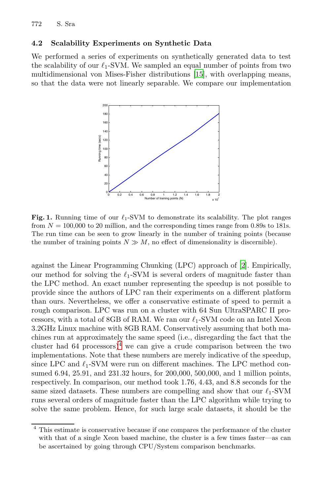<span id="page-5-0"></span>772 S. Sra

#### **4.2 Scalability Experiments on Synthetic Data**

We performed a series of experiments on synthetically generated data to test the scalability of our  $\ell_1$ -SVM. We sampled an equal number of points from two multidimensional von Mises-Fisher distributions [15], with overlapping means, so that the data were not linearly separable. We compare our implementation

<span id="page-5-2"></span>

**Fig. 1.** Running time of our  $\ell_1$ -SVM to demonstrate its scalability. The plot ranges from  $N = 100,000$  to  $20$  million, and the corresponding times range from 0.80s to 181s from  $N = 100,000$  to 20 million, and the corresponding times range from 0.89s to 181s. The run time can be seen to grow linearly in the number of training points (because the number of training points  $N \gg M$ , no effect of dimensionality is discernible).

against the Linear Programming Chunking (LPC) approach of [2]. Empirically, our me[th](#page-5-1)od for solving the  $\ell_1$ -SVM is several orders of magnitude faster than the LPC method. An exact number representing the speedup is not possible to provide since the authors of LPC ran their experiments on a different platform than ours. Nevertheless, we offer a conservative estimate of speed to permit a rough comparison. LPC was run on a cluster with 64 Sun UltraSPARC II processors, with a total of 8GB of RAM. We ran our  $\ell_1$ -SVM code on an Intel Xeon 3.2GHz Linux machine with 8GB RAM. Conservatively assuming that both machines run at approximately the same speed (i.e., disregarding the fact that the cluster had 64 processors)<sup>4</sup> we can give a crude comparison between the two implementations. Note that these numbers are merely indicative of the speedup, since LPC and  $\ell_1$ -SVM were run on different machines. The LPC method consumed 6.94, 25.91, and 231.32 hours, for 200,000, 500,000, and 1 million points, respectively. In comparison, our method took 1.76, 4.43, and 8.8 seconds for the same sized datasets. These numbers are compelling and show that our  $\ell_1$ -SVM runs several orders of magnitude faster than the LPC algorithm while trying to solve the same problem. Hence, for such large scale datasets, it should be the

<span id="page-5-1"></span><sup>4</sup> This estimate is conservative because if one compares the performance of the cluster with that of a single Xeon based machine, the cluster is a few times faster—as can be ascertained by going through CPU/System comparison benchmarks.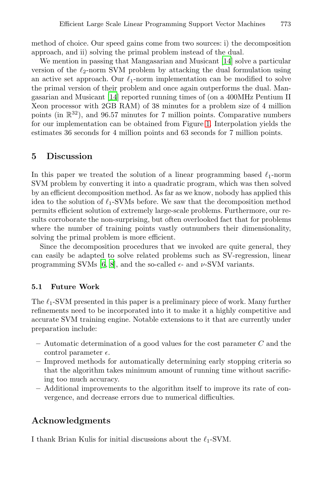method of choice. Our speed gains come from two sources: i) the decomposition approach, and ii) solving the pri[mal](#page-5-2) problem instead of the dual.

We mention in passing that Mangasarian and Musicant [14] solve a particular version of the  $\ell_2$ -norm SVM problem by attacking the dual formulation using an active set approach. Our  $\ell_1$ -norm implementation can be modified to solve the primal version of their problem and once again outperforms the dual. Mangasarian and Musicant [14] reported running times of (on a 400MHz Pentium II Xeon processor with 2GB RAM) of 38 minutes for a problem size of 4 million points (in  $\mathbb{R}^{32}$ ), and 96.57 minutes for 7 million points. Comparative numbers for our implementation can be obtained from Figure 1. Interpolation yields the estimates 36 seconds for 4 million points and 63 seconds for 7 million points.

## **5 Discussion**

In this paper we treated the solution of a linear programming based  $\ell_1$ -norm SVM problem by converting it into a quadratic program, which was then solved b[y a](#page-7-13)[n e](#page-7-8)fficient decomposition method. As far as we know, nobody has applied this idea to the solution of  $\ell_1$ -SVMs before. We saw that the decomposition method permits efficient solution of extremely large-scale problems. Furthermore, our results corroborate the non-surprising, but often overlooked fact that for problems where the number of training points vastly outnumbers their dimensionality, solving the primal problem is more efficient.

Since the decomposition procedures that we invoked are quite general, they can easily be adapted to solve related problems such as SV-regression, linear programming SVMs [6, 8], and the so-called  $\epsilon$ - and  $\nu$ -SVM variants.

#### **5.1 Future Work**

The  $\ell_1$ -SVM presented in this paper is a preliminary piece of work. Many further refinements need to be incorporated into it to make it a highly competitive and accurate SVM training engine. Notable extensions to it that are currently under preparation include:

- **–** Automatic determination of a good values for the cost parameter C and the control parameter  $\epsilon$ .
- **–** Improved methods for automatically determining early stopping criteria so that the algorithm takes minimum amount of running time without sacrificing too much accuracy.
- **–** Additional improvements to the algorithm itself to improve its rate of convergence, and decrease errors due to numerical difficulties.

## **Acknowledgments**

I thank Brian Kulis for initial discussions about the  $\ell_1$ -SVM.